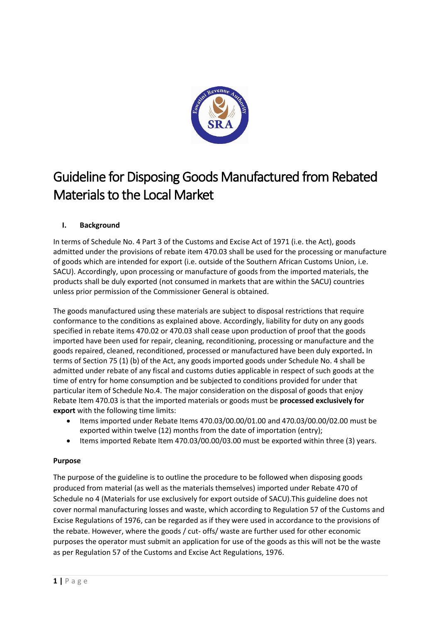

# Guideline for Disposing Goods Manufactured from Rebated Materials to the Local Market

## **I. Background**

In terms of Schedule No. 4 Part 3 of the Customs and Excise Act of 1971 (i.e. the Act), goods admitted under the provisions of rebate item 470.03 shall be used for the processing or manufacture of goods which are intended for export (i.e. outside of the Southern African Customs Union, i.e. SACU). Accordingly, upon processing or manufacture of goods from the imported materials, the products shall be duly exported (not consumed in markets that are within the SACU) countries unless prior permission of the Commissioner General is obtained.

The goods manufactured using these materials are subject to disposal restrictions that require conformance to the conditions as explained above. Accordingly, liability for duty on any goods specified in rebate items 470.02 or 470.03 shall cease upon production of proof that the goods imported have been used for repair, cleaning, reconditioning, processing or manufacture and the goods repaired, cleaned, reconditioned, processed or manufactured have been duly exported**.** In terms of Section 75 (1) (b) of the Act, any goods imported goods under Schedule No. 4 shall be admitted under rebate of any fiscal and customs duties applicable in respect of such goods at the time of entry for home consumption and be subjected to conditions provided for under that particular item of Schedule No.4. The major consideration on the disposal of goods that enjoy Rebate Item 470.03 is that the imported materials or goods must be **processed exclusively for export** with the following time limits:

- Items imported under Rebate Items 470.03/00.00/01.00 and 470.03/00.00/02.00 must be exported within twelve (12) months from the date of importation (entry);
- Items imported Rebate Item 470.03/00.00/03.00 must be exported within three (3) years.

#### **Purpose**

The purpose of the guideline is to outline the procedure to be followed when disposing goods produced from material (as well as the materials themselves) imported under Rebate 470 of Schedule no 4 (Materials for use exclusively for export outside of SACU).This guideline does not cover normal manufacturing losses and waste, which according to Regulation 57 of the Customs and Excise Regulations of 1976, can be regarded as if they were used in accordance to the provisions of the rebate. However, where the goods / cut- offs/ waste are further used for other economic purposes the operator must submit an application for use of the goods as this will not be the waste as per Regulation 57 of the Customs and Excise Act Regulations, 1976.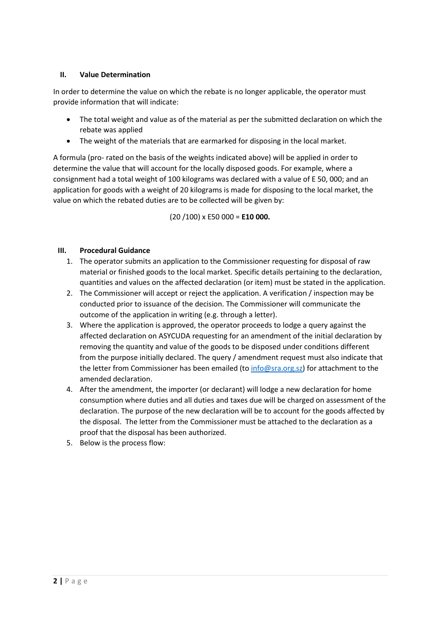### **II. Value Determination**

In order to determine the value on which the rebate is no longer applicable, the operator must provide information that will indicate:

- The total weight and value as of the material as per the submitted declaration on which the rebate was applied
- The weight of the materials that are earmarked for disposing in the local market.

A formula (pro- rated on the basis of the weights indicated above) will be applied in order to determine the value that will account for the locally disposed goods. For example, where a consignment had a total weight of 100 kilograms was declared with a value of E 50, 000; and an application for goods with a weight of 20 kilograms is made for disposing to the local market, the value on which the rebated duties are to be collected will be given by:

(20 /100) x E50 000 = **E10 000.**

#### **III. Procedural Guidance**

- 1. The operator submits an application to the Commissioner requesting for disposal of raw material or finished goods to the local market. Specific details pertaining to the declaration, quantities and values on the affected declaration (or item) must be stated in the application.
- 2. The Commissioner will accept or reject the application. A verification / inspection may be conducted prior to issuance of the decision. The Commissioner will communicate the outcome of the application in writing (e.g. through a letter).
- 3. Where the application is approved, the operator proceeds to lodge a query against the affected declaration on ASYCUDA requesting for an amendment of the initial declaration by removing the quantity and value of the goods to be disposed under conditions different from the purpose initially declared. The query / amendment request must also indicate that the letter from Commissioner has been emailed (t[o info@sra.org.sz\)](mailto:info@sra.org.sz) for attachment to the amended declaration.
- 4. After the amendment, the importer (or declarant) will lodge a new declaration for home consumption where duties and all duties and taxes due will be charged on assessment of the declaration. The purpose of the new declaration will be to account for the goods affected by the disposal. The letter from the Commissioner must be attached to the declaration as a proof that the disposal has been authorized.
- 5. Below is the process flow: